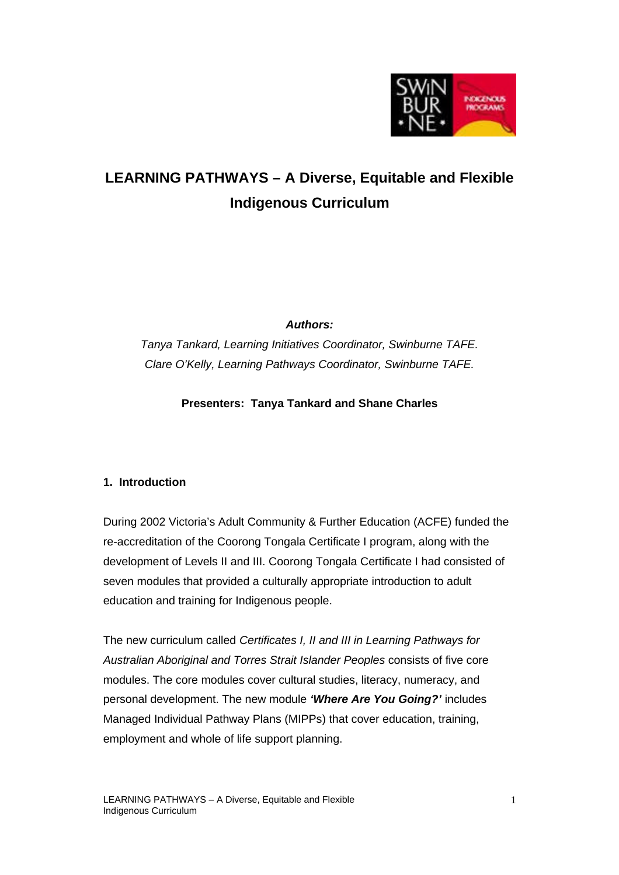

# **LEARNING PATHWAYS – A Diverse, Equitable and Flexible Indigenous Curriculum**

*Authors:*

*Tanya Tankard, Learning Initiatives Coordinator, Swinburne TAFE. Clare O'Kelly, Learning Pathways Coordinator, Swinburne TAFE.*

**Presenters: Tanya Tankard and Shane Charles**

# **1. Introduction**

During 2002 Victoria's Adult Community & Further Education (ACFE) funded the re-accreditation of the Coorong Tongala Certificate I program, along with the development of Levels II and III. Coorong Tongala Certificate I had consisted of seven modules that provided a culturally appropriate introduction to adult education and training for Indigenous people.

The new curriculum called *Certificates I, II and III in Learning Pathways for Australian Aboriginal and Torres Strait Islander Peoples* consists of five core modules. The core modules cover cultural studies, literacy, numeracy, and personal development. The new module *'Where Are You Going?'* includes Managed Individual Pathway Plans (MIPPs) that cover education, training, employment and whole of life support planning.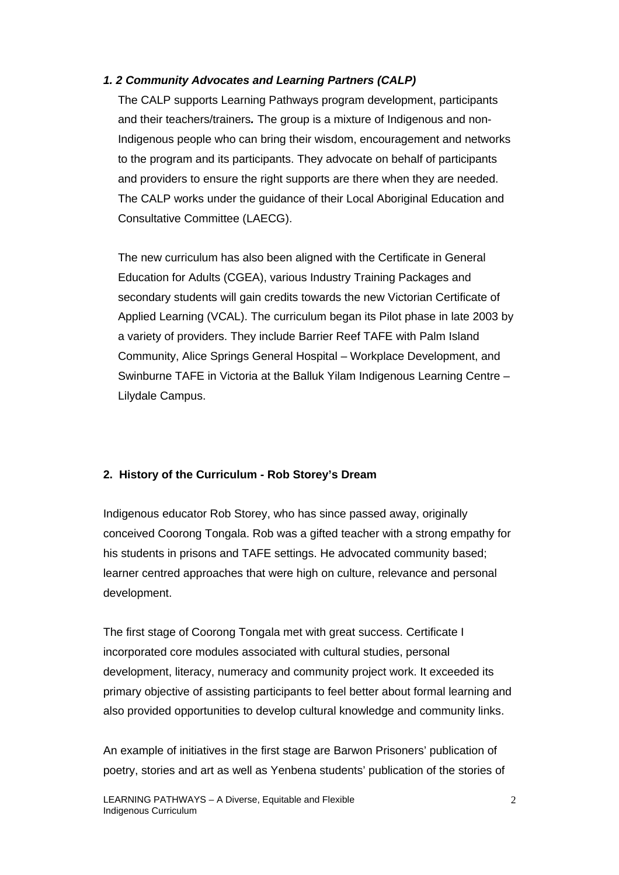## *1. 2 Community Advocates and Learning Partners (CALP)*

The CALP supports Learning Pathways program development, participants and their teachers/trainers*.* The group is a mixture of Indigenous and non-Indigenous people who can bring their wisdom, encouragement and networks to the program and its participants. They advocate on behalf of participants and providers to ensure the right supports are there when they are needed. The CALP works under the guidance of their Local Aboriginal Education and Consultative Committee (LAECG).

The new curriculum has also been aligned with the Certificate in General Education for Adults (CGEA), various Industry Training Packages and secondary students will gain credits towards the new Victorian Certificate of Applied Learning (VCAL). The curriculum began its Pilot phase in late 2003 by a variety of providers. They include Barrier Reef TAFE with Palm Island Community, Alice Springs General Hospital – Workplace Development, and Swinburne TAFE in Victoria at the Balluk Yilam Indigenous Learning Centre – Lilydale Campus.

## **2. History of the Curriculum - Rob Storey's Dream**

Indigenous educator Rob Storey, who has since passed away, originally conceived Coorong Tongala. Rob was a gifted teacher with a strong empathy for his students in prisons and TAFE settings. He advocated community based; learner centred approaches that were high on culture, relevance and personal development.

The first stage of Coorong Tongala met with great success. Certificate I incorporated core modules associated with cultural studies, personal development, literacy, numeracy and community project work. It exceeded its primary objective of assisting participants to feel better about formal learning and also provided opportunities to develop cultural knowledge and community links.

An example of initiatives in the first stage are Barwon Prisoners' publication of poetry, stories and art as well as Yenbena students' publication of the stories of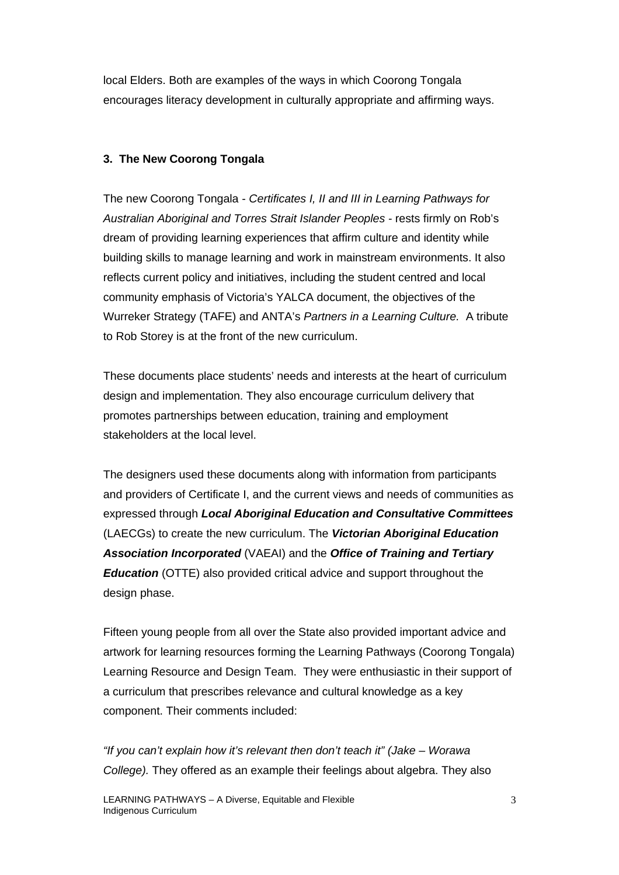local Elders. Both are examples of the ways in which Coorong Tongala encourages literacy development in culturally appropriate and affirming ways.

## **3. The New Coorong Tongala**

The new Coorong Tongala - *Certificates I, II and III in Learning Pathways for Australian Aboriginal and Torres Strait Islander Peoples -* rests firmly on Rob's dream of providing learning experiences that affirm culture and identity while building skills to manage learning and work in mainstream environments. It also reflects current policy and initiatives, including the student centred and local community emphasis of Victoria's YALCA document, the objectives of the Wurreker Strategy (TAFE) and ANTA's *Partners in a Learning Culture.* A tribute to Rob Storey is at the front of the new curriculum.

These documents place students' needs and interests at the heart of curriculum design and implementation. They also encourage curriculum delivery that promotes partnerships between education, training and employment stakeholders at the local level.

The designers used these documents along with information from participants and providers of Certificate I, and the current views and needs of communities as expressed through *Local Aboriginal Education and Consultative Committees*  (LAECGs) to create the new curriculum. The *Victorian Aboriginal Education Association Incorporated* (VAEAI) and the *Office of Training and Tertiary Education* (OTTE) also provided critical advice and support throughout the design phase.

Fifteen young people from all over the State also provided important advice and artwork for learning resources forming the Learning Pathways (Coorong Tongala) Learning Resource and Design Team. They were enthusiastic in their support of a curriculum that prescribes relevance and cultural knowledge as a key component. Their comments included:

*"If you can't explain how it's relevant then don't teach it" (Jake – Worawa College).* They offered as an example their feelings about algebra. They also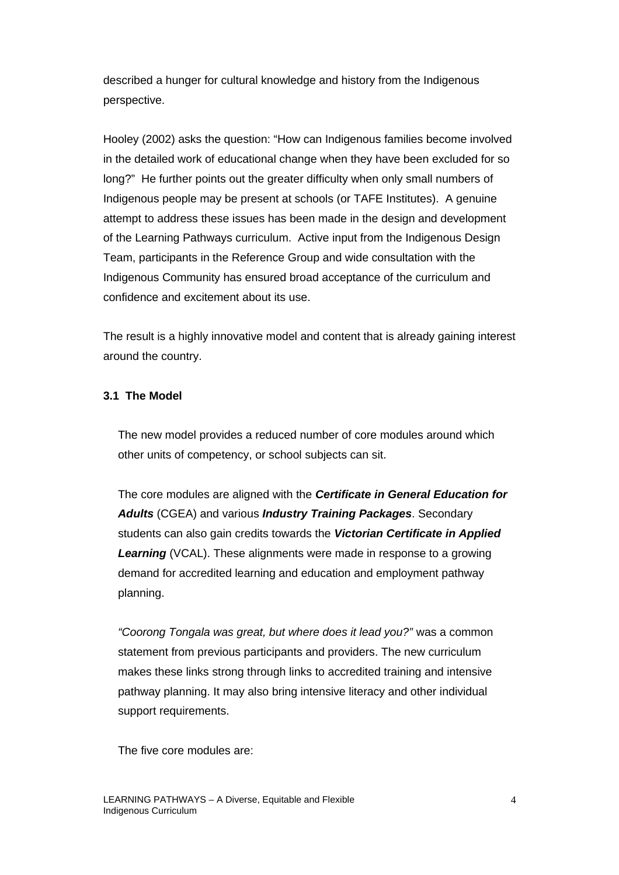described a hunger for cultural knowledge and history from the Indigenous perspective.

Hooley (2002) asks the question: "How can Indigenous families become involved in the detailed work of educational change when they have been excluded for so long?" He further points out the greater difficulty when only small numbers of Indigenous people may be present at schools (or TAFE Institutes). A genuine attempt to address these issues has been made in the design and development of the Learning Pathways curriculum. Active input from the Indigenous Design Team, participants in the Reference Group and wide consultation with the Indigenous Community has ensured broad acceptance of the curriculum and confidence and excitement about its use.

The result is a highly innovative model and content that is already gaining interest around the country.

## **3.1 The Model**

The new model provides a reduced number of core modules around which other units of competency, or school subjects can sit.

The core modules are aligned with the *Certificate in General Education for Adults* (CGEA) and various *Industry Training Packages*. Secondary students can also gain credits towards the *Victorian Certificate in Applied*  **Learning** (VCAL). These alignments were made in response to a growing demand for accredited learning and education and employment pathway planning.

*"Coorong Tongala was great, but where does it lead you?"* was a common statement from previous participants and providers. The new curriculum makes these links strong through links to accredited training and intensive pathway planning. It may also bring intensive literacy and other individual support requirements.

The five core modules are: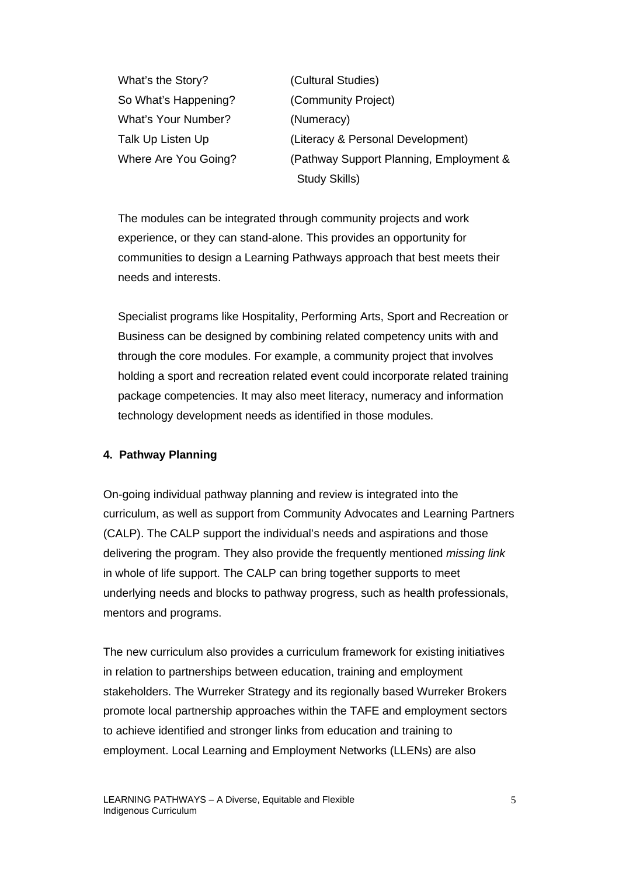What's the Story? (Cultural Studies) So What's Happening? (Community Project) What's Your Number? (Numeracy)

Talk Up Listen Up (Literacy & Personal Development) Where Are You Going? (Pathway Support Planning, Employment & Study Skills)

The modules can be integrated through community projects and work experience, or they can stand-alone. This provides an opportunity for communities to design a Learning Pathways approach that best meets their needs and interests.

Specialist programs like Hospitality, Performing Arts, Sport and Recreation or Business can be designed by combining related competency units with and through the core modules. For example, a community project that involves holding a sport and recreation related event could incorporate related training package competencies. It may also meet literacy, numeracy and information technology development needs as identified in those modules.

## **4. Pathway Planning**

On-going individual pathway planning and review is integrated into the curriculum, as well as support from Community Advocates and Learning Partners (CALP). The CALP support the individual's needs and aspirations and those delivering the program. They also provide the frequently mentioned *missing link* in whole of life support. The CALP can bring together supports to meet underlying needs and blocks to pathway progress, such as health professionals, mentors and programs.

The new curriculum also provides a curriculum framework for existing initiatives in relation to partnerships between education, training and employment stakeholders. The Wurreker Strategy and its regionally based Wurreker Brokers promote local partnership approaches within the TAFE and employment sectors to achieve identified and stronger links from education and training to employment. Local Learning and Employment Networks (LLENs) are also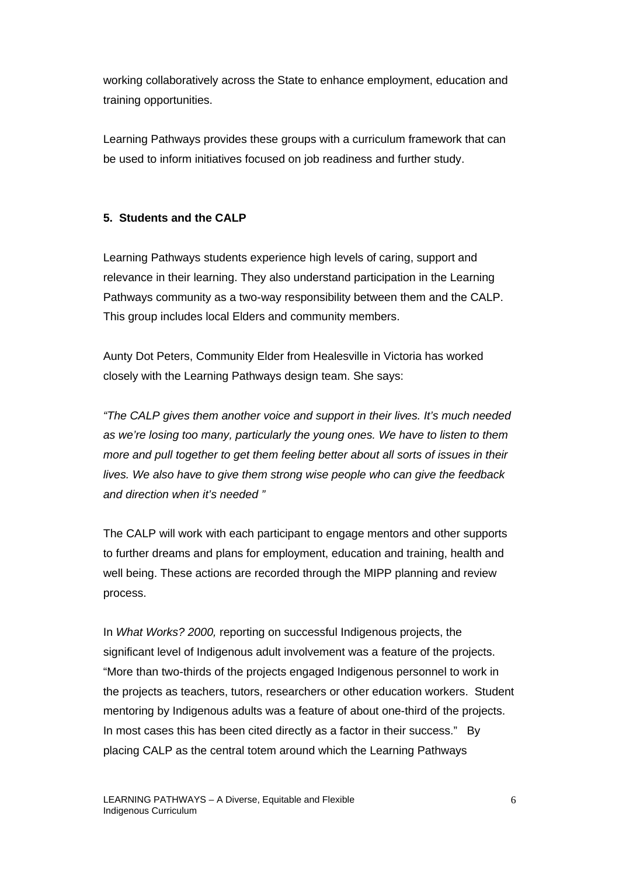working collaboratively across the State to enhance employment, education and training opportunities.

Learning Pathways provides these groups with a curriculum framework that can be used to inform initiatives focused on job readiness and further study.

# **5. Students and the CALP**

Learning Pathways students experience high levels of caring, support and relevance in their learning. They also understand participation in the Learning Pathways community as a two-way responsibility between them and the CALP. This group includes local Elders and community members.

Aunty Dot Peters, Community Elder from Healesville in Victoria has worked closely with the Learning Pathways design team. She says:

*"The CALP gives them another voice and support in their lives. It's much needed as we're losing too many, particularly the young ones. We have to listen to them more and pull together to get them feeling better about all sorts of issues in their lives. We also have to give them strong wise people who can give the feedback and direction when it's needed "*

The CALP will work with each participant to engage mentors and other supports to further dreams and plans for employment, education and training, health and well being. These actions are recorded through the MIPP planning and review process.

In *What Works? 2000,* reporting on successful Indigenous projects, the significant level of Indigenous adult involvement was a feature of the projects. "More than two-thirds of the projects engaged Indigenous personnel to work in the projects as teachers, tutors, researchers or other education workers. Student mentoring by Indigenous adults was a feature of about one-third of the projects. In most cases this has been cited directly as a factor in their success." By placing CALP as the central totem around which the Learning Pathways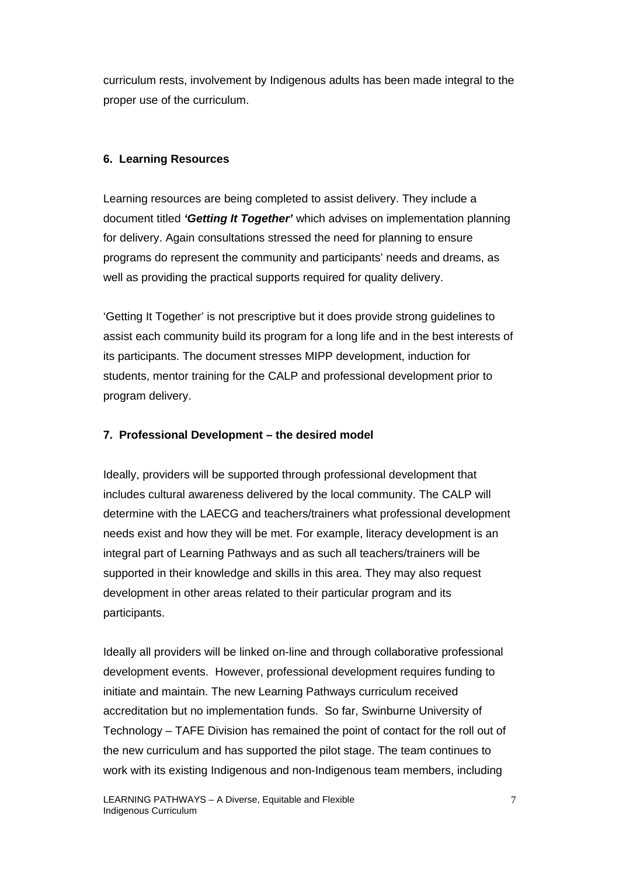curriculum rests, involvement by Indigenous adults has been made integral to the proper use of the curriculum.

# **6. Learning Resources**

Learning resources are being completed to assist delivery. They include a document titled *'Getting It Together'* which advises on implementation planning for delivery. Again consultations stressed the need for planning to ensure programs do represent the community and participants' needs and dreams, as well as providing the practical supports required for quality delivery.

'Getting It Together' is not prescriptive but it does provide strong guidelines to assist each community build its program for a long life and in the best interests of its participants. The document stresses MIPP development, induction for students, mentor training for the CALP and professional development prior to program delivery.

# **7. Professional Development – the desired model**

Ideally, providers will be supported through professional development that includes cultural awareness delivered by the local community. The CALP will determine with the LAECG and teachers/trainers what professional development needs exist and how they will be met. For example, literacy development is an integral part of Learning Pathways and as such all teachers/trainers will be supported in their knowledge and skills in this area. They may also request development in other areas related to their particular program and its participants.

Ideally all providers will be linked on-line and through collaborative professional development events. However, professional development requires funding to initiate and maintain. The new Learning Pathways curriculum received accreditation but no implementation funds. So far, Swinburne University of Technology – TAFE Division has remained the point of contact for the roll out of the new curriculum and has supported the pilot stage. The team continues to work with its existing Indigenous and non-Indigenous team members, including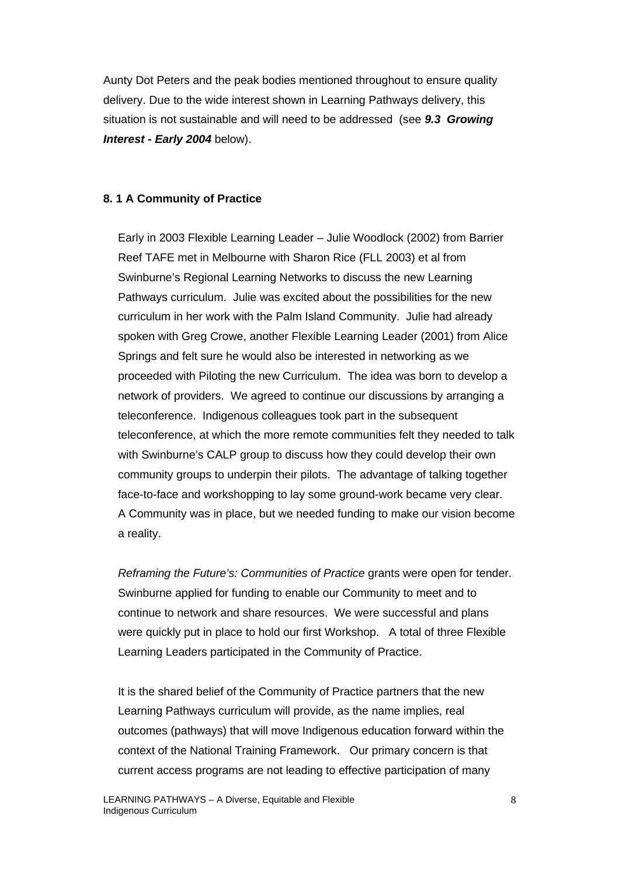Aunty Dot Peters and the peak bodies mentioned throughout to ensure quality delivery. Due to the wide interest shown in Learning Pathways delivery, this situation is not sustainable and will need to be addressed (see *9.3 Growing Interest - Early 2004* below).

#### **8. 1 A Community of Practice**

Early in 2003 Flexible Learning Leader – Julie Woodlock (2002) from Barrier Reef TAFE met in Melbourne with Sharon Rice (FLL 2003) et al from Swinburne's Regional Learning Networks to discuss the new Learning Pathways curriculum. Julie was excited about the possibilities for the new curriculum in her work with the Palm Island Community. Julie had already spoken with Greg Crowe, another Flexible Learning Leader (2001) from Alice Springs and felt sure he would also be interested in networking as we proceeded with Piloting the new Curriculum. The idea was born to develop a network of providers. We agreed to continue our discussions by arranging a teleconference. Indigenous colleagues took part in the subsequent teleconference, at which the more remote communities felt they needed to talk with Swinburne's CALP group to discuss how they could develop their own community groups to underpin their pilots. The advantage of talking together face-to-face and workshopping to lay some ground-work became very clear. A Community was in place, but we needed funding to make our vision become a reality.

*Reframing the Future's: Communities of Practice* grants were open for tender. Swinburne applied for funding to enable our Community to meet and to continue to network and share resources. We were successful and plans were quickly put in place to hold our first Workshop. A total of three Flexible Learning Leaders participated in the Community of Practice.

It is the shared belief of the Community of Practice partners that the new Learning Pathways curriculum will provide, as the name implies, real outcomes (pathways) that will move Indigenous education forward within the context of the National Training Framework. Our primary concern is that current access programs are not leading to effective participation of many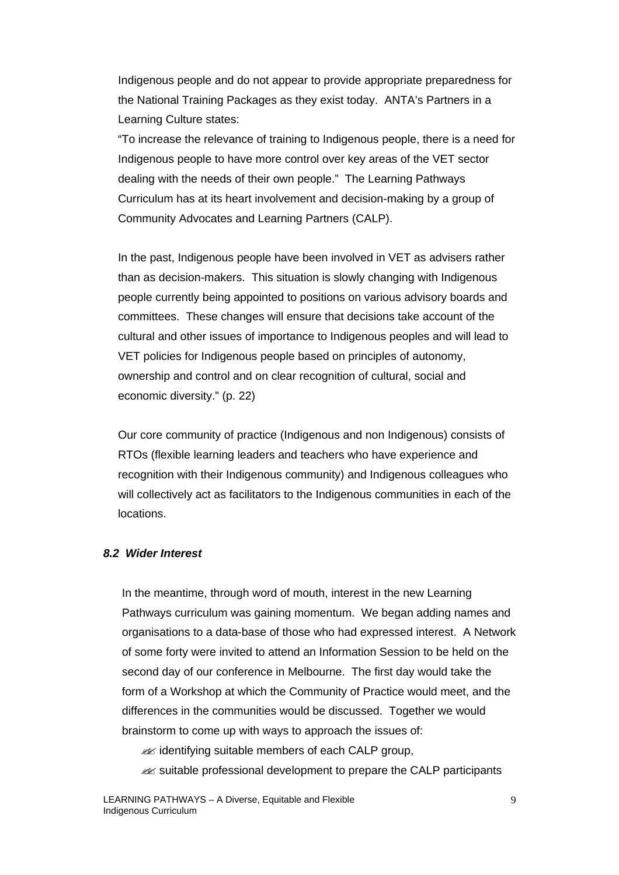Indigenous people and do not appear to provide appropriate preparedness for the National Training Packages as they exist today. ANTA's Partners in a Learning Culture states:

"To increase the relevance of training to Indigenous people, there is a need for Indigenous people to have more control over key areas of the VET sector dealing with the needs of their own people." The Learning Pathways Curriculum has at its heart involvement and decision-making by a group of Community Advocates and Learning Partners (CALP).

In the past, Indigenous people have been involved in VET as advisers rather than as decision-makers. This situation is slowly changing with Indigenous people currently being appointed to positions on various advisory boards and committees. These changes will ensure that decisions take account of the cultural and other issues of importance to Indigenous peoples and will lead to VET policies for Indigenous people based on principles of autonomy, ownership and control and on clear recognition of cultural, social and economic diversity." (p. 22)

Our core community of practice (Indigenous and non Indigenous) consists of RTOs (flexible learning leaders and teachers who have experience and recognition with their Indigenous community) and Indigenous colleagues who will collectively act as facilitators to the Indigenous communities in each of the locations.

## *8.2 Wider Interest*

In the meantime, through word of mouth, interest in the new Learning Pathways curriculum was gaining momentum. We began adding names and organisations to a data-base of those who had expressed interest. A Network of some forty were invited to attend an Information Session to be held on the second day of our conference in Melbourne. The first day would take the form of a Workshop at which the Community of Practice would meet, and the differences in the communities would be discussed. Together we would brainstorm to come up with ways to approach the issues of:

 $\mathscr{A}$  identifying suitable members of each CALP group,

**EX** suitable professional development to prepare the CALP participants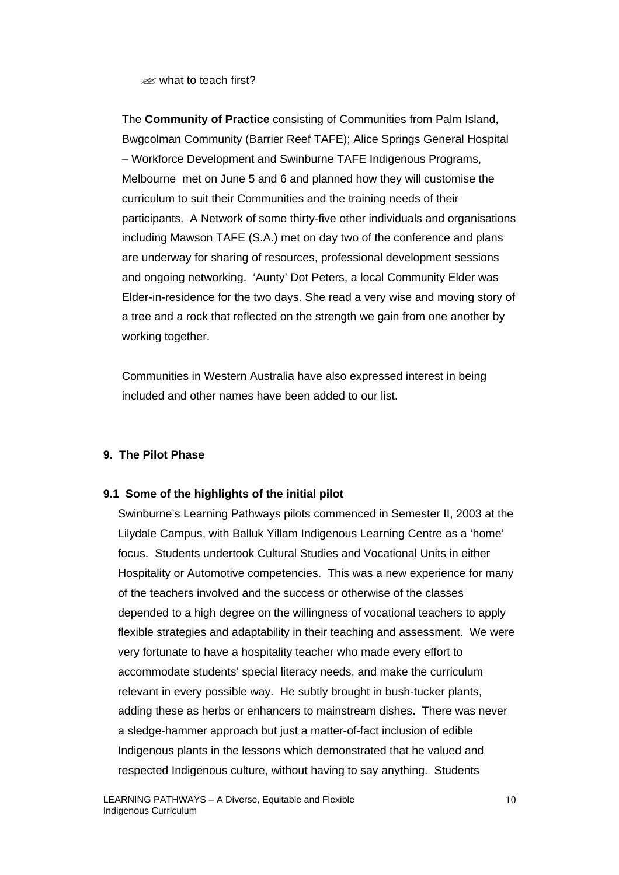$\approx$  what to teach first?

The **Community of Practice** consisting of Communities from Palm Island, Bwgcolman Community (Barrier Reef TAFE); Alice Springs General Hospital – Workforce Development and Swinburne TAFE Indigenous Programs, Melbourne met on June 5 and 6 and planned how they will customise the curriculum to suit their Communities and the training needs of their participants. A Network of some thirty-five other individuals and organisations including Mawson TAFE (S.A.) met on day two of the conference and plans are underway for sharing of resources, professional development sessions and ongoing networking. 'Aunty' Dot Peters, a local Community Elder was Elder-in-residence for the two days. She read a very wise and moving story of a tree and a rock that reflected on the strength we gain from one another by working together.

Communities in Western Australia have also expressed interest in being included and other names have been added to our list.

## **9. The Pilot Phase**

## **9.1 Some of the highlights of the initial pilot**

Swinburne's Learning Pathways pilots commenced in Semester II, 2003 at the Lilydale Campus, with Balluk Yillam Indigenous Learning Centre as a 'home' focus. Students undertook Cultural Studies and Vocational Units in either Hospitality or Automotive competencies. This was a new experience for many of the teachers involved and the success or otherwise of the classes depended to a high degree on the willingness of vocational teachers to apply flexible strategies and adaptability in their teaching and assessment. We were very fortunate to have a hospitality teacher who made every effort to accommodate students' special literacy needs, and make the curriculum relevant in every possible way. He subtly brought in bush-tucker plants, adding these as herbs or enhancers to mainstream dishes. There was never a sledge-hammer approach but just a matter-of-fact inclusion of edible Indigenous plants in the lessons which demonstrated that he valued and respected Indigenous culture, without having to say anything. Students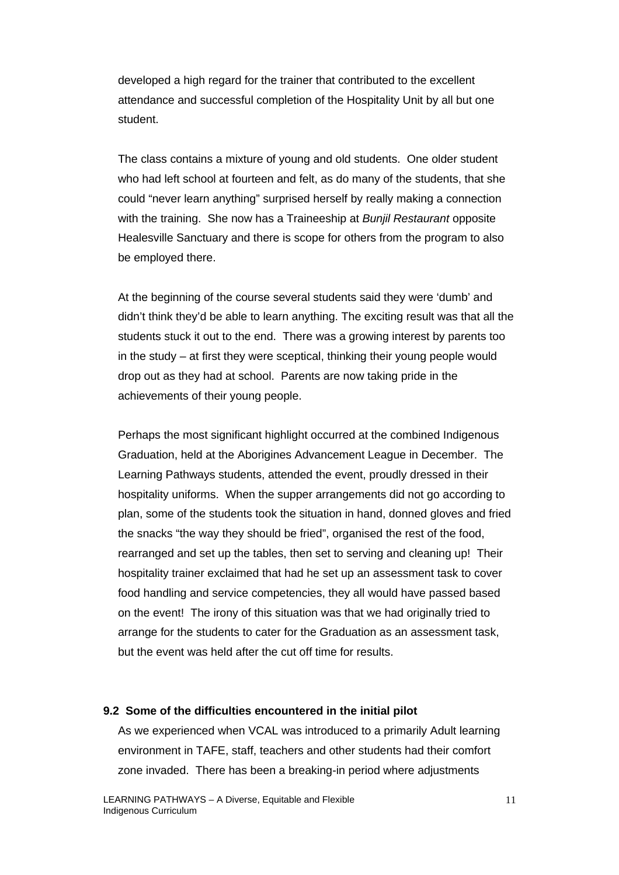developed a high regard for the trainer that contributed to the excellent attendance and successful completion of the Hospitality Unit by all but one student.

The class contains a mixture of young and old students. One older student who had left school at fourteen and felt, as do many of the students, that she could "never learn anything" surprised herself by really making a connection with the training. She now has a Traineeship at *Bunjil Restaurant* opposite Healesville Sanctuary and there is scope for others from the program to also be employed there.

At the beginning of the course several students said they were 'dumb' and didn't think they'd be able to learn anything. The exciting result was that all the students stuck it out to the end. There was a growing interest by parents too in the study – at first they were sceptical, thinking their young people would drop out as they had at school. Parents are now taking pride in the achievements of their young people.

Perhaps the most significant highlight occurred at the combined Indigenous Graduation, held at the Aborigines Advancement League in December. The Learning Pathways students, attended the event, proudly dressed in their hospitality uniforms. When the supper arrangements did not go according to plan, some of the students took the situation in hand, donned gloves and fried the snacks "the way they should be fried", organised the rest of the food, rearranged and set up the tables, then set to serving and cleaning up! Their hospitality trainer exclaimed that had he set up an assessment task to cover food handling and service competencies, they all would have passed based on the event! The irony of this situation was that we had originally tried to arrange for the students to cater for the Graduation as an assessment task, but the event was held after the cut off time for results.

#### **9.2 Some of the difficulties encountered in the initial pilot**

As we experienced when VCAL was introduced to a primarily Adult learning environment in TAFE, staff, teachers and other students had their comfort zone invaded. There has been a breaking-in period where adjustments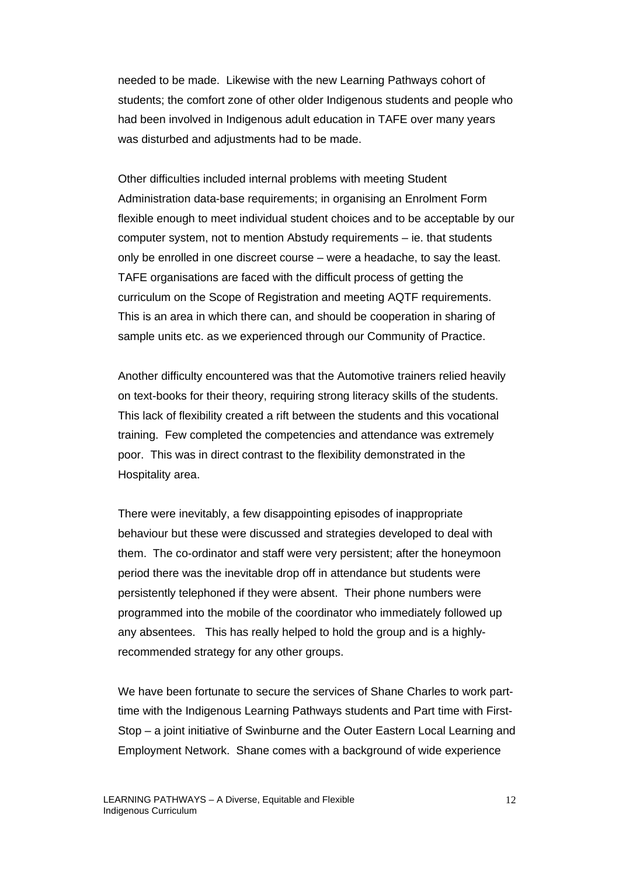needed to be made. Likewise with the new Learning Pathways cohort of students; the comfort zone of other older Indigenous students and people who had been involved in Indigenous adult education in TAFE over many years was disturbed and adjustments had to be made.

Other difficulties included internal problems with meeting Student Administration data-base requirements; in organising an Enrolment Form flexible enough to meet individual student choices and to be acceptable by our computer system, not to mention Abstudy requirements – ie. that students only be enrolled in one discreet course – were a headache, to say the least. TAFE organisations are faced with the difficult process of getting the curriculum on the Scope of Registration and meeting AQTF requirements. This is an area in which there can, and should be cooperation in sharing of sample units etc. as we experienced through our Community of Practice.

Another difficulty encountered was that the Automotive trainers relied heavily on text-books for their theory, requiring strong literacy skills of the students. This lack of flexibility created a rift between the students and this vocational training. Few completed the competencies and attendance was extremely poor. This was in direct contrast to the flexibility demonstrated in the Hospitality area.

There were inevitably, a few disappointing episodes of inappropriate behaviour but these were discussed and strategies developed to deal with them. The co-ordinator and staff were very persistent; after the honeymoon period there was the inevitable drop off in attendance but students were persistently telephoned if they were absent. Their phone numbers were programmed into the mobile of the coordinator who immediately followed up any absentees. This has really helped to hold the group and is a highlyrecommended strategy for any other groups.

We have been fortunate to secure the services of Shane Charles to work parttime with the Indigenous Learning Pathways students and Part time with First-Stop – a joint initiative of Swinburne and the Outer Eastern Local Learning and Employment Network. Shane comes with a background of wide experience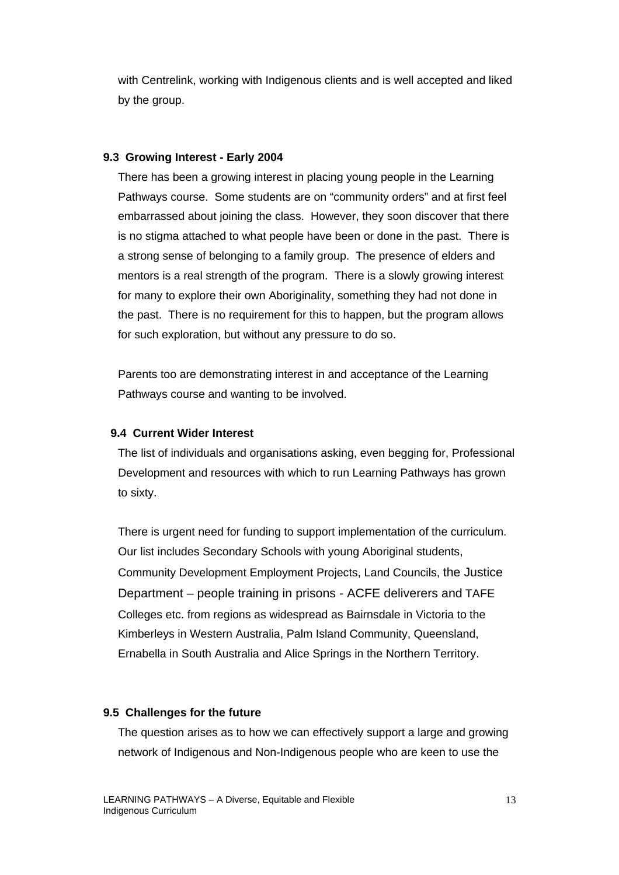with Centrelink, working with Indigenous clients and is well accepted and liked by the group.

## **9.3 Growing Interest - Early 2004**

There has been a growing interest in placing young people in the Learning Pathways course. Some students are on "community orders" and at first feel embarrassed about joining the class. However, they soon discover that there is no stigma attached to what people have been or done in the past. There is a strong sense of belonging to a family group. The presence of elders and mentors is a real strength of the program. There is a slowly growing interest for many to explore their own Aboriginality, something they had not done in the past. There is no requirement for this to happen, but the program allows for such exploration, but without any pressure to do so.

Parents too are demonstrating interest in and acceptance of the Learning Pathways course and wanting to be involved.

#### **9.4 Current Wider Interest**

The list of individuals and organisations asking, even begging for, Professional Development and resources with which to run Learning Pathways has grown to sixty.

There is urgent need for funding to support implementation of the curriculum. Our list includes Secondary Schools with young Aboriginal students, Community Development Employment Projects, Land Councils, the Justice Department – people training in prisons - ACFE deliverers and TAFE Colleges etc. from regions as widespread as Bairnsdale in Victoria to the Kimberleys in Western Australia, Palm Island Community, Queensland, Ernabella in South Australia and Alice Springs in the Northern Territory.

#### **9.5 Challenges for the future**

The question arises as to how we can effectively support a large and growing network of Indigenous and Non-Indigenous people who are keen to use the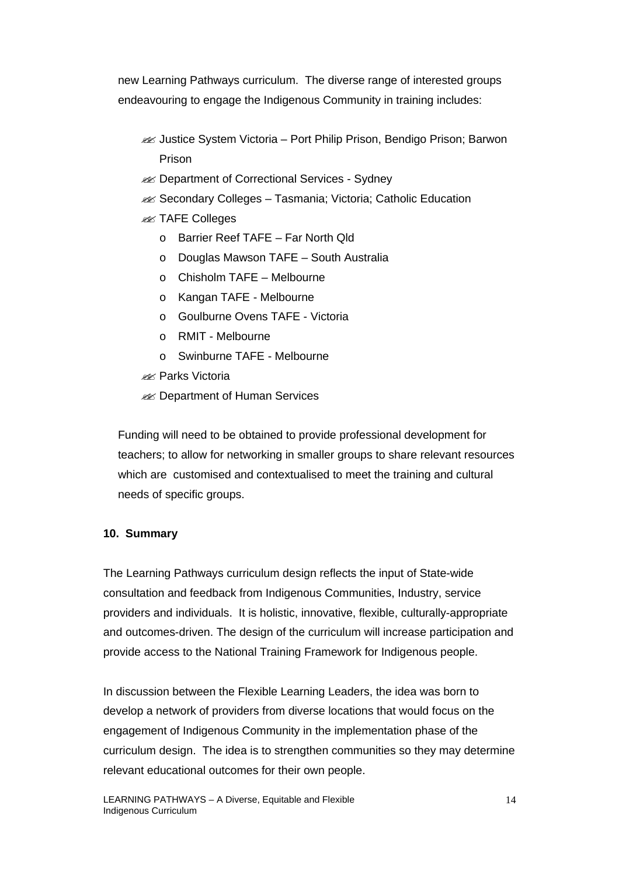new Learning Pathways curriculum. The diverse range of interested groups endeavouring to engage the Indigenous Community in training includes:

- **Example 3** Justice System Victoria Port Philip Prison, Bendigo Prison; Barwon Prison
- **EX** Department of Correctional Services Sydney
- **Example 3 Secondary Colleges Tasmania; Victoria; Catholic Education**
- **228 TAFE Colleges** 
	- o Barrier Reef TAFE Far North Qld
	- o Douglas Mawson TAFE South Australia
	- o Chisholm TAFE Melbourne
	- o Kangan TAFE Melbourne
	- o Goulburne Ovens TAFE Victoria
	- o RMIT Melbourne
	- o Swinburne TAFE Melbourne
- **Ex Parks Victoria**
- **228 Department of Human Services**

Funding will need to be obtained to provide professional development for teachers; to allow for networking in smaller groups to share relevant resources which are customised and contextualised to meet the training and cultural needs of specific groups.

## **10. Summary**

The Learning Pathways curriculum design reflects the input of State-wide consultation and feedback from Indigenous Communities, Industry, service providers and individuals. It is holistic, innovative, flexible, culturally-appropriate and outcomes-driven. The design of the curriculum will increase participation and provide access to the National Training Framework for Indigenous people.

In discussion between the Flexible Learning Leaders, the idea was born to develop a network of providers from diverse locations that would focus on the engagement of Indigenous Community in the implementation phase of the curriculum design. The idea is to strengthen communities so they may determine relevant educational outcomes for their own people.